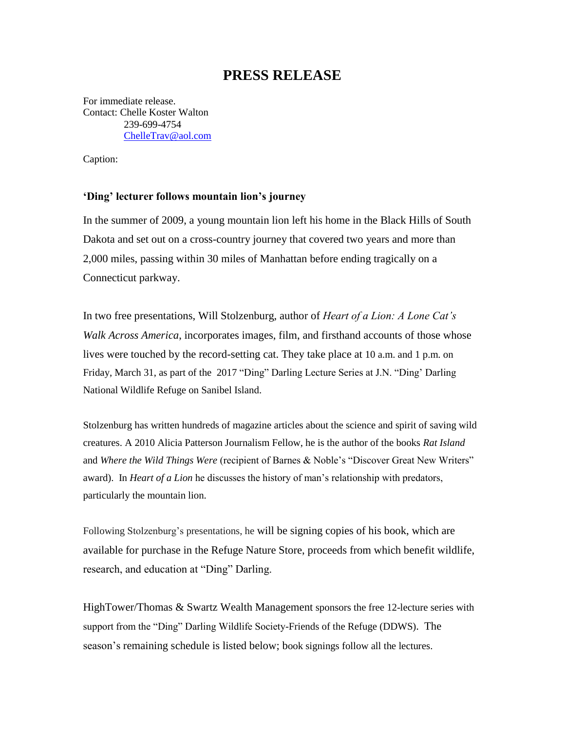## **PRESS RELEASE**

For immediate release. Contact: Chelle Koster Walton 239-699-4754 [ChelleTrav@aol.com](mailto:ChelleTrav@aol.com)

Caption:

## **'Ding' lecturer follows mountain lion's journey**

In the summer of 2009, a young mountain lion left his home in the Black Hills of South Dakota and set out on a cross-country journey that covered two years and more than 2,000 miles, passing within 30 miles of Manhattan before ending tragically on a Connecticut parkway.

In two free presentations, Will Stolzenburg, author of *Heart of a Lion: A Lone Cat's Walk Across America*, incorporates images, film, and firsthand accounts of those whose lives were touched by the record-setting cat. They take place at 10 a.m. and 1 p.m. on Friday, March 31, as part of the 2017 "Ding" Darling Lecture Series at J.N. "Ding' Darling National Wildlife Refuge on Sanibel Island.

Stolzenburg has written hundreds of magazine articles about the science and spirit of saving wild creatures. A 2010 Alicia Patterson Journalism Fellow, he is the author of the books *Rat Island* and *Where the Wild Things Were* (recipient of Barnes & Noble's "Discover Great New Writers" award). In *Heart of a Lion* he discusses the history of man's relationship with predators, particularly the mountain lion.

Following Stolzenburg's presentations, he will be signing copies of his book, which are available for purchase in the Refuge Nature Store, proceeds from which benefit wildlife, research, and education at "Ding" Darling.

HighTower/Thomas & Swartz Wealth Management sponsors the free 12-lecture series with support from the "Ding" Darling Wildlife Society-Friends of the Refuge (DDWS). The season's remaining schedule is listed below; book signings follow all the lectures.